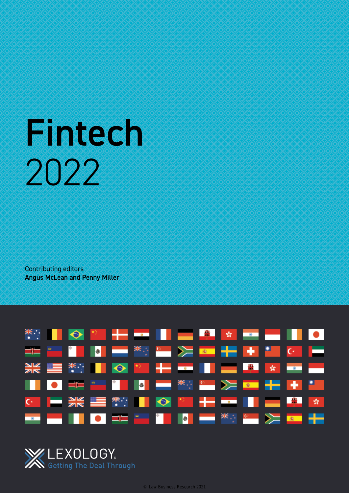# Fintech 2022

Contributing editors Angus McLean and Penny Miller





© Law Business Research 2021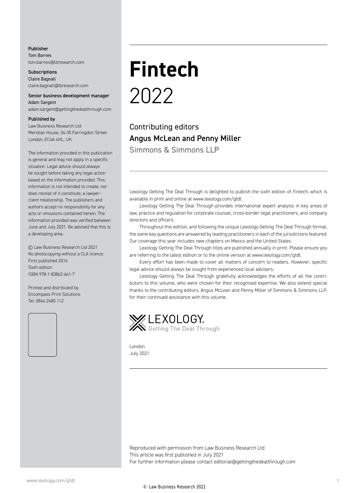#### Publisher Tom Barnes tom.barnes@lbresearch.com

**Subscriptions** Claire Bagnall claire.bagnall@lbresearch.com

#### Senior business development manager Adam Sargent

adam.sargent@gettingthedealthrough.com

#### Published by

Law Business Research Ltd Meridian House, 34-35 Farringdon Street London, EC4A 4HL, UK

The information provided in this publication is general and may not apply in a specific situation. Legal advice should always be sought before taking any legal action based on the information provided. This information is not intended to create, nor does receipt of it constitute, a lawyer– client relationship. The publishers and authors accept no responsibility for any acts or omissions contained herein. The information provided was verified between June and July 2021. Be advised that this is a developing area.

© Law Business Research Ltd 2021 No photocopying without a CLA licence. First published 2016 Sixth edition ISBN 978-1-83862-661-7

Printed and distributed by Encompass Print Solutions Tel: 0844 2480 112



# **Fintech** 2022

Contributing editors Angus McLean and Penny Miller Simmons & Simmons LLP

Lexology Getting The Deal Through is delighted to publish the sixth edition of *Fintech*, which is available in print and online at www.lexology.com/gtdt.

Lexology Getting The Deal Through provides international expert analysis in key areas of law, practice and regulation for corporate counsel, cross-border legal practitioners, and company directors and officers.

Throughout this edition, and following the unique Lexology Getting The Deal Through format, the same key questions are answered by leading practitioners in each of the jurisdictions featured. Our coverage this year includes new chapters on Mexico and the United States.

Lexology Getting The Deal Through titles are published annually in print. Please ensure you are referring to the latest edition or to the online version at www.lexology.com/gtdt.

Every effort has been made to cover all matters of concern to readers. However, specific legal advice should always be sought from experienced local advisers.

Lexology Getting The Deal Through gratefully acknowledges the efforts of all the contributors to this volume, who were chosen for their recognised expertise. We also extend special thanks to the contributing editors, Angus McLean and Penny Miller of Simmons & Simmons LLP, for their continued assistance with this volume.



London July 2021

Reproduced with permission from Law Business Research Ltd This article was first published in July 2021 For further information please contact editorial@gettingthedealthrough.com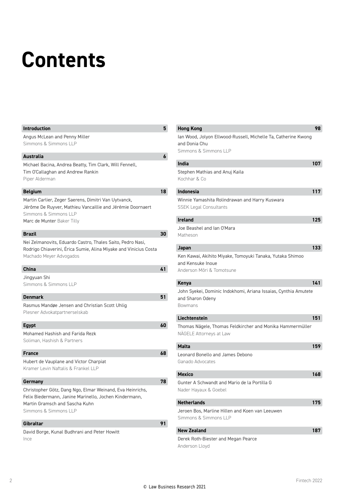## **Contents**

| <b>Introduction</b>                                                                                                                                                            | 5  |
|--------------------------------------------------------------------------------------------------------------------------------------------------------------------------------|----|
| Angus McLean and Penny Miller<br>Simmons & Simmons LLP                                                                                                                         |    |
|                                                                                                                                                                                |    |
| <b>Australia</b>                                                                                                                                                               | 6  |
| Michael Bacina, Andrea Beatty, Tim Clark, Will Fennell,<br>Tim O'Callaghan and Andrew Rankin<br>Piper Alderman                                                                 |    |
| <b>Belgium</b>                                                                                                                                                                 | 18 |
| Martin Carlier, Zeger Saerens, Dimitri Van Uytvanck,<br>Jérôme De Ruyver, Mathieu Vancaillie and Jérémie Doornaert<br>Simmons & Simmons LLP<br>Marc de Munter Baker Tilly      |    |
| <b>Brazil</b>                                                                                                                                                                  | 30 |
| Nei Zelmanovits, Eduardo Castro, Thales Saito, Pedro Nasi,<br>Rodrigo Chiaverini, Érica Sumie, Alina Miyake and Vinicius Costa<br>Machado Meyer Advogados                      |    |
| <b>China</b>                                                                                                                                                                   | 41 |
| Jingyuan Shi<br>Simmons & Simmons LLP                                                                                                                                          |    |
| <b>Denmark</b>                                                                                                                                                                 | 51 |
| Rasmus Mandøe Jensen and Christian Scott Uhlig<br>Plesner Advokatpartnerselskab                                                                                                |    |
| <b>Egypt</b>                                                                                                                                                                   | 60 |
| Mohamed Hashish and Farida Rezk<br>Soliman, Hashish & Partners                                                                                                                 |    |
| <b>France</b>                                                                                                                                                                  | 68 |
| Hubert de Vauplane and Victor Charpiat<br>Kramer Levin Naftalis & Frankel LLP                                                                                                  |    |
| Germany                                                                                                                                                                        | 78 |
| Christopher Götz, Dang Ngo, Elmar Weinand, Eva Heinrichs,<br>Felix Biedermann, Janine Marinello, Jochen Kindermann,<br>Martin Gramsch and Sascha Kuhn<br>Simmons & Simmons LLP |    |
| Gibraltar                                                                                                                                                                      | 91 |
| David Borge, Kunal Budhrani and Peter Howitt<br>Ince                                                                                                                           |    |

| 98<br><b>Hong Kong</b>                                                                                      |
|-------------------------------------------------------------------------------------------------------------|
| Ian Wood, Jolyon Ellwood-Russell, Michelle Ta, Catherine Kwong<br>and Donia Chu<br>Simmons & Simmons LLP    |
| India<br>107                                                                                                |
| Stephen Mathias and Anuj Kaila<br>Kochhar & Co                                                              |
| 117<br><b>Indonesia</b>                                                                                     |
| Winnie Yamashita Rolindrawan and Harry Kuswara<br><b>SSEK Legal Consultants</b>                             |
| 125<br><b>Ireland</b>                                                                                       |
| Joe Beashel and Ian O'Mara<br>Matheson                                                                      |
| 133<br><b>Japan</b>                                                                                         |
| Ken Kawai, Akihito Miyake, Tomoyuki Tanaka, Yutaka Shimoo<br>and Kensuke Inoue<br>Anderson Möri & Tomotsune |
| 141<br>Kenya                                                                                                |
| John Syekei, Dominic Indokhomi, Ariana Issaias, Cynthia Amutete<br>and Sharon Odeny<br><b>Bowmans</b>       |
| 151<br>Liechtenstein                                                                                        |
| Thomas Nägele, Thomas Feldkircher and Monika Hammermüller<br>NAGELE Attorneys at Law                        |
| 159<br><b>Malta</b>                                                                                         |
| Leonard Bonello and James Debono<br>Ganado Advocates                                                        |
| <b>Mexico</b><br>168                                                                                        |
| Gunter A Schwandt and Mario de la Portilla G<br>Nader Hayaux & Goebel                                       |
| <b>Netherlands</b><br>175                                                                                   |
| Jeroen Bos, Marline Hillen and Koen van Leeuwen<br>Simmons & Simmons LLP                                    |
| <b>New Zealand</b><br>187                                                                                   |
| Derek Roth-Biester and Megan Pearce<br>Anderson Lloyd                                                       |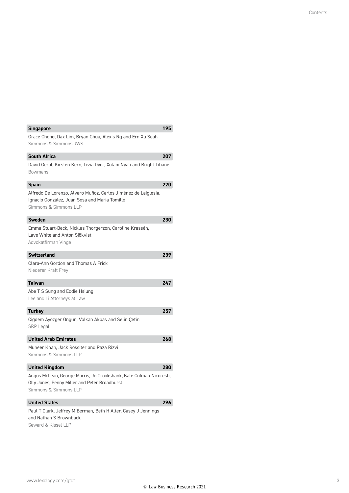| Singapore                                                                                                                                    | 195 |
|----------------------------------------------------------------------------------------------------------------------------------------------|-----|
| Grace Chong, Dax Lim, Bryan Chua, Alexis Ng and Ern Xu Seah<br>Simmons & Simmons JWS                                                         |     |
| <b>South Africa</b>                                                                                                                          | 207 |
| David Geral, Kirsten Kern, Livia Dyer, Xolani Nyali and Bright Tibane<br><b>Bowmans</b>                                                      |     |
| <b>Spain</b>                                                                                                                                 | 220 |
| Alfredo De Lorenzo, Alvaro Muñoz, Carlos Jiménez de Laiglesia,<br>Ignacio González, Juan Sosa and María Tomillo<br>Simmons & Simmons LLP     |     |
| <b>Sweden</b>                                                                                                                                | 230 |
| Emma Stuart-Beck, Nicklas Thorgerzon, Caroline Krassén,<br>Lave White and Anton Sjökvist<br>Advokatfirman Vinge                              |     |
| <b>Switzerland</b>                                                                                                                           | 239 |
| Clara-Ann Gordon and Thomas A Frick<br>Niederer Kraft Frey                                                                                   |     |
| <b>Taiwan</b>                                                                                                                                | 247 |
| Abe T S Sung and Eddie Hsiung<br>Lee and Li Attorneys at Law                                                                                 |     |
| <b>Turkey</b>                                                                                                                                | 257 |
| Cigdem Ayozger Ongun, Volkan Akbas and Selin Çetin<br><b>SRP Legal</b>                                                                       |     |
| <b>United Arab Emirates</b>                                                                                                                  | 268 |
| Muneer Khan, Jack Rossiter and Raza Rizvi<br>Simmons & Simmons LLP                                                                           |     |
| <b>United Kingdom</b>                                                                                                                        | 280 |
| Angus McLean, George Morris, Jo Crookshank, Kate Cofman-Nicoresti,<br>Olly Jones, Penny Miller and Peter Broadhurst<br>Simmons & Simmons LLP |     |
| <b>United States</b>                                                                                                                         | 296 |

Paul T Clark, Jeffrey M Berman, Beth H Alter, Casey J Jennings and Nathan S Brownback Seward & Kissel LLP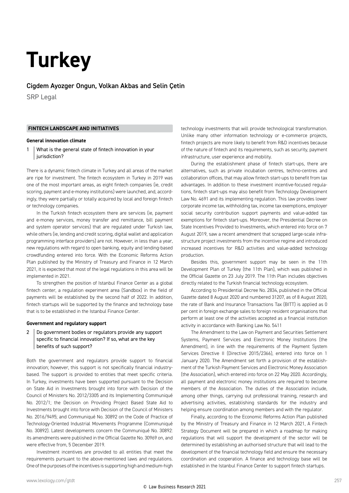### **Turkey**

#### Cigdem Ayozger Ongun, Volkan Akbas and Selin Çetin

SRP Legal

#### **FINTECH LANDSCAPE AND INITIATIVES**

#### **General innovation climate**

1 What is the general state of fintech innovation in your | jurisdiction?

There is a dynamic fintech climate in Turkey and all areas of the market are ripe for investment. The fintech ecosystem in Turkey in 2019 was one of the most important areas, as eight fintech companies (ie, credit scoring, payment and e-money institutions) were launched, and, accordingly, they were partially or totally acquired by local and foreign fintech or technology companies.

In the Turkish fintech ecosystem there are services (ie, payment and e-money services, money transfer and remittance, bill payment and system operator services) that are regulated under Turkish law, while others (ie, lending and credit scoring, digital wallet and application programming interface providers) are not. However, in less than a year, new regulations with regard to open banking, equity and lending-based crowdfunding entered into force. With the Economic Reforms Action Plan published by the Ministry of Treasury and Finance in 12 March 2021, it is expected that most of the legal regulations in this area will be implemented in 2021.

To strengthen the position of Istanbul Finance Center as a global fintech center, a regulation experiment area (Sandbox) in the field of payments will be established by the second half of 2022. In addition, fintech startups will be supported by the finance and technology base that is to be established in the Istanbul Finance Center.

#### **Government and regulatory support**

#### 2 Do government bodies or regulators provide any support specific to financial innovation? If so, what are the key benefits of such support?

Both the government and regulators provide support to financial innovation; however, this support is not specifically financial industrybased. The support is provided to entities that meet specific criteria. In Turkey, investments have been supported pursuant to the Decision on State Aid in Investments brought into force with Decision of the Council of Ministers No. 2012/3305 and its Implementing Communiqué No. 2012/1; the Decision on Providing Project Based State Aid to Investments brought into force with Decision of the Council of Ministers No. 2016/9495; and Communiqué No. 30892 on the Code of Practice of Technology-Oriented Industrial Movements Programme (Communiqué No. 30892). Latest developments concern the Communiqué No. 30892: its amendments were published in the Official Gazette No. 30969 on, and were effective from, 5 December 2019.

Investment incentives are provided to all entities that meet the requirements pursuant to the above-mentioned laws and regulations. One of the purposes of the incentives is supporting high and medium-high technology investments that will provide technological transformation. Unlike many other information technology or e-commerce projects, fintech projects are more likely to benefit from R&D incentives because of the nature of fintech and its requirements, such as security, payment infrastructure, user experience and mobility.

During the establishment phase of fintech start-ups, there are alternatives, such as private incubation centres, techno-centres and collaboration offices, that may allow fintech start-ups to benefit from tax advantages. In addition to these investment incentive-focused regulations, fintech start-ups may also benefit from Technology Development Law No. 4691 and its implementing regulation. This law provides lower corporate income tax, withholding tax, income tax exemptions, employer social security contribution support payments and value-added tax exemptions for fintech start-ups. Moreover, the Presidential Decree on State Incentives Provided to Investments, which entered into force on 7 August 2019, saw a recent amendment that scrapped large-scale infrastructure project investments from the incentive regime and introduced increased incentives for R&D activities and value-added technology production.

Besides this, government support may be seen in the 11th Development Plan of Turkey (the 11th Plan), which was published in the Official Gazette on 23 July 2019. The 11th Plan includes objectives directly related to the Turkish financial technology ecosystem.

According to Presidential Decree No. 2834, published in the Official Gazette dated 8 August 2020 and numbered 31207, as of 8 August 2020, the rate of Bank and Insurance Transactions Tax (BITT) is applied as 0 per cent in foreign exchange sales to foreign resident organisations that perform at least one of the activities accepted as a financial institution activity in accordance with Banking Law No. 5411

The Amendment to the Law on Payment and Securities Settlement Systems, Payment Services and Electronic Money Institutions (the Amendment), in line with the requirements of the Payment System Services Directive II (Directive 2015/2366), entered into force on 1 January 2020. The Amendment set forth a provision of the establishment of the Turkish Payment Services and Electronic Money Association (the Association), which entered into force on 22 May 2020. Accordingly, all payment and electronic money institutions are required to become members of the Association. The duties of the Association include, among other things, carrying out professional training, research and advertising activities, establishing standards for the industry and helping ensure coordination among members and with the regulator.

Finally, according to the Economic Reforms Action Plan published by the Ministry of Treasury and Finance in 12 March 2021, A Fintech Strategy Document will be prepared in which a roadmap for making regulations that will support the development of the sector will be determined by establishing an authorised structure that will lead to the development of the financial technology field and ensure the necessary coordination and cooperation. A finance and technology base will be established in the Istanbul Finance Center to support fintech startups.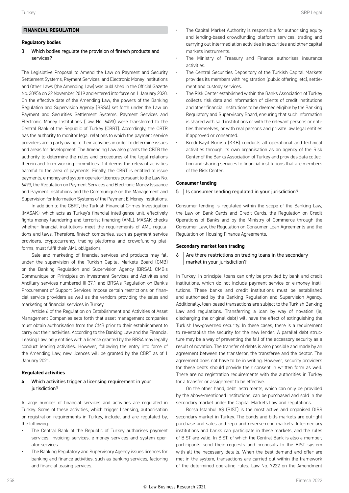#### **FINANCIAL REGULATION**

#### **Regulatory bodies**

#### 3 Which bodies regulate the provision of fintech products and services?

The Legislative Proposal to Amend the Law on Payment and Security Settlement Systems, Payment Services, and Electronic Money Institutions and Other Laws (the Amending Law) was published in the Official Gazette No. 30956 on 22 November 2019 and entered into force on 1 January 2020. On the effective date of the Amending Law, the powers of the Banking Regulation and Supervision Agency (BRSA) set forth under the Law on Payment and Securities Settlement Systems, Payment Services and Electronic Money Institutions (Law No. 6493) were transferred to the Central Bank of the Republic of Turkey (CBRT). Accordingly, the CBTR has the authority to monitor legal relations to which the payment service providers are a party owing to their activities in order to determine issues and areas for development. The Amending Law also grants the CBTR the authority to determine the rules and procedures of the legal relations therein and form working committees if it deems the relevant activities harmful to the area of payments. Finally, the CBRT is entitled to issue payments, e-money and system operator licences pursuant to the Law No. 6493, the Regulation on Payment Services and Electronic Money Issuance and Payment Institutions and the Communiqué on the Management and Supervision for Information Systems of the Payment E-Money Institutions.

In addition to the CBRT, the Turkish Financial Crimes Investigation (MASAK), which acts as Turkey's financial intelligence unit, effectively fights money laundering and terrorist financing (AML). MASAK checks whether financial institutions meet the requirements of AML regulations and laws. Therefore, fintech companies, such as payment service providers, cryptocurrency trading platforms and crowdfunding platforms, must fulfil their AML obligations.

Sale and marketing of financial services and products may fall under the supervision of the Turkish Capital Markets Board (CMB) or the Banking Regulation and Supervision Agency (BRSA). CMB's Communique on Principles on Investment Services and Activities and Ancillary services numbered III-37.1 and BRSA's Regulation on Bank's Procurement of Support Services impose certain restrictions on financial service providers as well as the vendors providing the sales and marketing of financial services in Turkey.

Article 6 of the Regulation on Establishment and Activities of Asset Management Companies sets forth that asset management companies must obtain authorisation from the CMB prior to their establishment to carry out their activities. According to the Banking Law and the Financial Leasing Law, only entities with a licence granted by the BRSA may legally conduct lending activities. However, following the entry into force of the Amending Law, new licences will be granted by the CBRT as of 1 January 2021.

#### **Regulated activities**

#### 4 Which activities trigger a licensing requirement in your jurisdiction?

A large number of financial services and activities are regulated in Turkey. Some of these activities, which trigger licensing, authorisation or registration requirements in Turkey, include, and are regulated by, the following.

- The Central Bank of the Republic of Turkey authorises payment services, invoicing services, e-money services and system operator services.
- The Banking Regulatory and Supervisory Agency issues licences for banking and finance activities, such as banking services, factoring and financial leasing services.
- The Capital Market Authority is responsible for authorising equity and lending-based crowdfunding platform services, trading and carrying out intermediation activities in securities and other capital markets instruments.
- The Ministry of Treasury and Finance authorises insurance activities.
- The Central Securities Depository of the Turkish Capital Markets provides its members with registration (public offering, etc), settlement and custody services.
- The Risk Center established within the Banks Association of Turkey collects risk data and information of clients of credit institutions and other financial institutions to be deemed eligible by the Banking Regulatory and Supervisory Board, ensuring that such information is shared with said institutions or with the relevant persons or entities themselves, or with real persons and private law legal entities if approved or consented.
- Kredi Kayıt Bürosu (KKB) conducts all operational and technical activities through its own organisation as an agency of the Risk Center of the Banks Association of Turkey and provides data collection and sharing services to financial institutions that are members of the Risk Center.

#### **Consumer lending**

#### $5$  | Is consumer lending regulated in your jurisdiction?

Consumer lending is regulated within the scope of the Banking Law, the Law on Bank Cards and Credit Cards, the Regulation on Credit Operations of Banks and by the Ministry of Commerce through the Consumer Law, the Regulation on Consumer Loan Agreements and the Regulation on Housing Finance Agreements.

#### **Secondary market loan trading**

#### $\vert 6 \vert$  Are there restrictions on trading loans in the secondary market in your jurisdiction?

In Turkey, in principle, loans can only be provided by bank and credit institutions, which do not include payment service or e-money institutions. These banks and credit institutions must be established and authorised by the Banking Regulation and Supervision Agency. Additionally, loan-based transactions are subject to the Turkish Banking Law and regulations. Transferring a loan by way of novation (ie, discharging the original debt) will have the effect of extinguishing the Turkish law-governed security. In these cases, there is a requirement to re-establish the security for the new lender. A parallel debt structure may be a way of preventing the fall of the accessory security as a result of novation. The transfer of debts is also possible and made by an agreement between the transferor, the transferee and the debtor. The agreement does not have to be in writing. However, security providers for these debts should provide their consent in written form as well. There are no registration requirements with the authorities in Turkey for a transfer or assignment to be effective.

On the other hand, debt instruments, which can only be provided by the above-mentioned institutions, can be purchased and sold in the secondary market under the Capital Markets Law and regulations.

Borsa İstanbul AŞ (BIST) is the most active and organised DIBS secondary market in Turkey. The bonds and bills markets are outright purchase and sales and repo and reverse-repo markets. Intermediary institutions and banks can participate in these markets, and the rules of BIST are valid. In BIST, of which the Central Bank is also a member, participants send their requests and proposals to the BIST system with all the necessary details. When the best demand and offer are met in the system, transactions are carried out within the framework of the determined operating rules. Law No. 7222 on the Amendment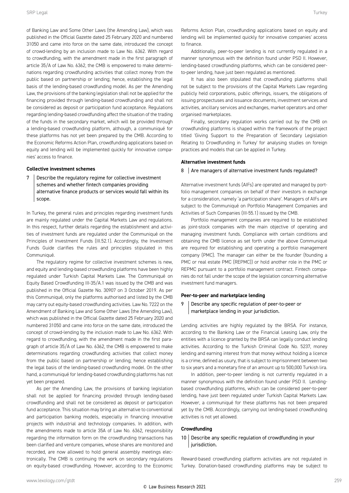of Banking Law and Some Other Laws (the Amending Law), which was published in the Official Gazette dated 25 February 2020 and numbered 31050 and came into force on the same date, introduced the concept of crowd-lending by an inclusion made to Law No. 6362. With regard to crowdfunding, with the amendment made in the first paragraph of article 35/A of Law No. 6362, the CMB is empowered to make determinations regarding crowdfunding activities that collect money from the public based on partnership or lending; hence, establishing the legal basis of the lending-based crowdfunding model. As per the Amending Law, the provisions of the banking legislation shall not be applied for the financing provided through lending-based crowdfunding and shall not be considered as deposit or participation fund acceptance. Regulations regarding lending-based crowdfunding affect the situation of the trading of the funds in the secondary market, which will be provided through a lending-based crowdfunding platform, although, a communiqué for these platforms has not yet been prepared by the CMB. According to the Economic Reforms Action Plan, crowdfunding applications based on equity and lending will be implemented quickly for innovative companies' access to finance.

#### **Collective investment schemes**

7 Describe the regulatory regime for collective investment schemes and whether fintech companies providing alternative finance products or services would fall within its scope.

In Turkey, the general rules and principles regarding investment funds are mainly regulated under the Capital Markets Law and regulations. In this respect, further details regarding the establishment and activities of investment funds are regulated under the Communiqué on the Principles of Investment Funds (III.52.1). Accordingly, the Investment Funds Guide clarifies the rules and principles stipulated in this Communiqué.

The regulatory regime for collective investment schemes is new, and equity and lending-based crowdfunding platforms have been highly regulated under Turkish Capital Markets Law. The Communiqué on Equity Based Crowdfunding III-35/A.1 was issued by the CMB and was published in the Official Gazette No. 30907 on 3 October 2019. As per this Communiqué, only the platforms authorised and listed by the CMB may carry out equity-based crowdfunding activities. Law No. 7222 on the Amendment of Banking Law and Some Other Laws (the Amending Law), which was published in the Official Gazette dated 25 February 2020 and numbered 31050 and came into force on the same date, introduced the concept of crowd-lending by the inclusion made to Law No. 6362. With regard to crowdfunding, with the amendment made in the first paragraph of article 35/A of Law No. 6362, the CMB is empowered to make determinations regarding crowdfunding activities that collect money from the public based on partnership or lending; hence establishing the legal basis of the lending-based crowdfunding model. On the other hand, a communiqué for lending-based crowdfunding platforms has not yet been prepared.

As per the Amending Law, the provisions of banking legislation shall not be applied for financing provided through lending-based crowdfunding and shall not be considered as deposit or participation fund acceptance. This situation may bring an alternative to conventional and participation banking models, especially in financing innovative projects with industrial and technology companies. In addition, with the amendments made to article 35A of Law No. 6362, responsibility regarding the information form on the crowdfunding transactions has been clarified and venture companies, whose shares are monitored and recorded, are now allowed to hold general assembly meetings electronically. The CMB is continuing the work on secondary regulations on equity-based crowdfunding. However, according to the Economic Reforms Action Plan, crowdfunding applications based on equity and lending will be implemented quickly for innovative companies' access to finance.

Additionally, peer-to-peer lending is not currently regulated in a manner synonymous with the definition found under PSD II. However, lending-based crowdfunding platforms, which can be considered peerto-peer lending, have just been regulated as mentioned.

It has also been stipulated that crowdfunding platforms shall not be subject to the provisions of the Capital Markets Law regarding publicly held corporations, public offerings, issuers, the obligations of issuing prospectuses and issuance documents, investment services and activities, ancillary services and exchanges, market operators and other organised marketplaces.

Finally, secondary regulation works carried out by the CMB on crowdfunding platforms is shaped within the framework of the project titled 'Giving Support to the Preparation of Secondary Legislation Relating to Crowdfunding in Turkey' for analysing studies on foreign practices and models that can be applied in Turkey.

#### **Alternative investment funds**

#### 8 Are managers of alternative investment funds regulated?

Alternative investment funds (AIFs) are operated and managed by portfolio management companies on behalf of their investors in exchange for a consideration, namely 'a participation share'. Managers of AIFs are subject to the Communiqué on Portfolio Management Companies and Activities of Such Companies (III-55.1) issued by the CMB.

Portfolio management companies are required to be established as joint-stock companies with the main objective of operating and managing investment funds. Compliance with certain conditions and obtaining the CMB licence as set forth under the above Communiqué are required for establishing and operating a portfolio management company (PMC). The manager can either be the founder (founding a PMC or real estate PMC (REPMC)) or hold another role in the PMC or REPMC pursuant to a portfolio management contract. Fintech companies do not fall under the scope of the legislation concerning alternative investment fund managers.

#### **Peer-to-peer and marketplace lending**

#### 9 Describe any specific regulation of peer-to-peer or marketplace lending in your jurisdiction.

Lending activities are highly regulated by the BRSA. For instance, according to the Banking Law or the Financial Leasing Law, only the entities with a licence granted by the BRSA can legally conduct lending activities. According to the Turkish Criminal Code No. 5237, money lending and earning interest from that money without holding a licence is a crime, defined as usury, that is subject to imprisonment between two to six years and a monetary fine of an amount up to 500,000 Turkish lira.

In addition, peer-to-peer lending is not currently regulated in a manner synonymous with the definition found under PSD II. Lendingbased crowdfunding platforms, which can be considered peer-to-peer lending, have just been regulated under Turkish Capital Markets Law. However, a communiqué for these platforms has not been prepared yet by the CMB. Accordingly, carrying out lending-based crowdfunding activities is not yet allowed.

#### **Crowdfunding**

#### 10 Describe any specific regulation of crowdfunding in your jurisdiction.

Reward-based crowdfunding platform activities are not regulated in Turkey. Donation-based crowdfunding platforms may be subject to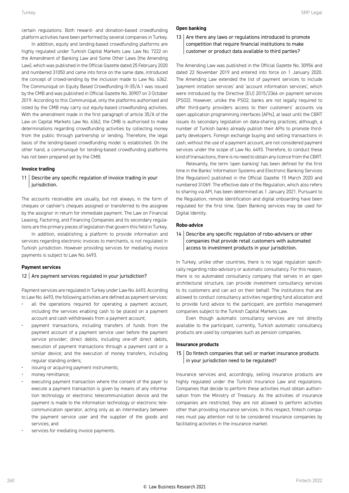In addition, equity and lending-based crowdfunding platforms are highly regulated under Turkish Capital Markets Law. Law No. 7222 on the Amendment of Banking Law and Some Other Laws (the Amending Law), which was published in the Official Gazette dated 25 February 2020 and numbered 31050 and came into force on the same date, introduced the concept of crowd-lending by the inclusion made to Law No. 6362. The Communiqué on Equity Based Crowdfunding III-35/A.1 was issued by the CMB and was published in Official Gazette No. 30907 on 3 October 2019. According to this Communiqué, only the platforms authorised and listed by the CMB may carry out equity-based crowdfunding activities. With the amendment made in the first paragraph of article 35/A of the Law on Capital Markets Law No. 6362, the CMB is authorised to make determinations regarding crowdfunding activities by collecting money from the public through partnership or lending. Therefore, the legal basis of the lending-based crowdfunding model is established. On the other hand, a communiqué for lending-based crowdfunding platforms has not been prepared yet by the CMB.

#### **Invoice trading**

#### 11 | Describe any specific regulation of invoice trading in your jurisdiction.

The accounts receivable are usually, but not always, in the form of cheques or cashier's cheques assigned or transferred to the assignee by the assignor in return for immediate payment. The Law on Financial Leasing, Factoring, and Financing Companies and its secondary regulations are the primary pieces of legislation that govern this field in Turkey.

In addition, establishing a platform to provide information and services regarding electronic invoices to merchants, is not regulated in Turkish jurisdiction. However providing services for mediating invoice payments is subject to Law No. 6493.

#### **Payment services**

#### 12 Are payment services regulated in your jurisdiction?

Payment services are regulated in Turkey under Law No. 6493. According to Law No. 6493, the following activities are defined as payment services:

- all the operations required for operating a payment account, including the services enabling cash to be placed on a payment account and cash withdrawals from a payment account;
- payment transactions, including transfers of funds from the payment account of a payment service user before the payment service provider; direct debits, including one-off direct debits, execution of payment transactions through a payment card or a similar device; and the execution of money transfers, including regular standing orders;
- issuing or acquiring payment instruments;
- money remittance;
- executing payment transaction where the consent of the payer to execute a payment transaction is given by means of any information technology or electronic telecommunication device and the payment is made to the information technology or electronic telecommunication operator, acting only as an intermediary between the payment service user and the supplier of the goods and services; and
- services for mediating invoice payments.

#### **Open banking**

#### $13$  Are there any laws or regulations introduced to promote competition that require financial institutions to make customer or product data available to third parties?

The Amending Law was published in the Official Gazette No. 30956 and dated 22 November 2019 and entered into force on 1 January 2020. The Amending Law extended the list of payment services to include 'payment initiation services' and 'account information services', which were introduced by the Directive (EU) 2015/2366 on payment services (PSD2). However, unlike the PSD2, banks are not legally required to offer third-party providers access to their customers' accounts via open application programming interfaces (APIs), at least until the CBRT issues its secondary legislation on data-sharing practices; although, a number of Turkish banks already publish their APIs to promote thirdparty developers. Foreign exchange buying and selling transactions in cash, without the use of a payment account, are not considered payment services under the scope of Law No. 6493. Therefore, to conduct these kind of transactions, there is no need to obtain any licence from the CBRT.

Relevantly, the term 'open banking' has been defined for the first time in the Banks' Information Systems and Electronic Banking Services (the Regulation) published in the Official Gazette 15 March 2020 and numbered 31069. The effective date of the Regulation, which also refers to sharing via API, has been determined as 1 January 2021. Pursuant to the Regulation, remote identification and digital onboarding have been regulated for the first time. Open Banking services may be used for Digital Identity.

#### **Robo-advice**

14 Describe any specific regulation of robo-advisers or other companies that provide retail customers with automated access to investment products in your jurisdiction.

In Turkey, unlike other countries, there is no legal regulation specifically regarding robo-advisory or automatic consultancy. For this reason, there is no automated consultancy company that serves in an open architectural structure, can provide investment consultancy services to its customers and can act on their behalf. The institutions that are allowed to conduct consultancy activities regarding fund allocation and to provide fund advice to the participant, are portfolio management companies subject to the Turkish Capital Markets Law.

Even though automatic consultancy services are not directly available to the participant, currently, Turkish automatic consultancy products are used by companies such as pension companies.

#### **Insurance products**

#### 15 Do fintech companies that sell or market insurance products in your jurisdiction need to be regulated?

Insurance services and, accordingly, selling insurance products are highly regulated under the Turkish Insurance Law and regulations. Companies that decide to perform these activities must obtain authorisation from the Ministry of Treasury. As the activities of insurance companies are restricted, they are not allowed to perform activities other than providing insurance services. In this respect, fintech companies must pay attention not to be considered insurance companies by facilitating activities in the insurance market.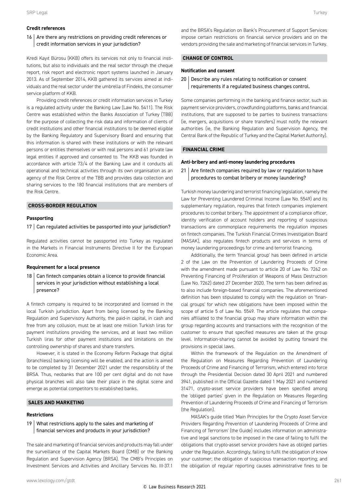#### **Credit references**

#### 16 Are there any restrictions on providing credit references or credit information services in your jurisdiction?

Kredi Kayıt Bürosu (KKB) offers its services not only to financial institutions, but also to individuals and the real sector through the cheque report, risk report and electronic report systems launched in January 2013. As of September 2014, KKB gathered its services aimed at individuals and the real sector under the umbrella of Findeks, the consumer service platform of KKB.

Providing credit references or credit information services in Turkey is a regulated activity under the Banking Law (Law No. 5411). The Risk Centre was established within the Banks Association of Turkey (TBB) for the purpose of collecting the risk data and information of clients of credit institutions and other financial institutions to be deemed eligible by the Banking Regulatory and Supervisory Board and ensuring that this information is shared with these institutions or with the relevant persons or entities themselves or with real persons and 61 private law legal entities if approved and consented to. The KKB was founded in accordance with article 73/4 of the Banking Law and it conducts all operational and technical activities through its own organisation as an agency of the Risk Centre of the TBB and provides data collection and sharing services to the 180 financial institutions that are members of the Risk Centre.

#### **CROSS-BORDER REGULATION**

#### **Passporting**

17 Can regulated activities be passported into your jurisdiction?

Regulated activities cannot be passported into Turkey as regulated in the Markets in Financial Instruments Directive II for the European Economic Area.

#### **Requirement for a local presence**

#### 18 Can fintech companies obtain a licence to provide financial services in your jurisdiction without establishing a local presence?

A fintech company is required to be incorporated and licensed in the local Turkish jurisdiction. Apart from being licensed by the Banking Regulation and Supervisory Authority, the paid-in capital, in cash and free from any collusion, must be at least one million Turkish liras for payment institutions providing the services, and at least two million Turkish liras for other payment institutions and limitations on the controlling ownership of shares and share transfers.

However, it is stated in the Economy Reform Package that digital (branchless) banking licensing will be enabled, and the action is aimed to be completed by 31 December 2021 under the responsibility of the BRSA. Thus, neobanks that are 100 per cent digital and do not have physical branches will also take their place in the digital scene and emerge as potential competitors to established banks.

#### **SALES AND MARKETING**

#### **Restrictions**

#### 19 | What restrictions apply to the sales and marketing of financial services and products in your jurisdiction?

The sale and marketing of financial services and products may fall under the surveillance of the Capital Markets Board (CMB) or the Banking Regulation and Supervision Agency (BRSA). The CMB's Principles on Investment Services and Activities and Ancillary Services No. III-37.1

and the BRSA's Regulation on Bank's Procurement of Support Services impose certain restrictions on financial service providers and on the vendors providing the sale and marketing of financial services in Turkey.

#### **CHANGE OF CONTROL**

#### **Notification and consent**

20 Describe any rules relating to notification or consent requirements if a regulated business changes control.

Some companies performing in the banking and finance sector, such as payment service providers, crowdfunding platforms, banks and financial institutions, that are supposed to be parties to business transactions (ie, mergers, acquisitions or share transfers) must notify the relevant authorities (ie, the Banking Regulation and Supervision Agency, the Central Bank of the Republic of Turkey and the Capital Market Authority).

#### **FINANCIAL CRIME**

#### **Anti-bribery and anti-money laundering procedures**

 $21$  Are fintech companies required by law or regulation to have procedures to combat bribery or money laundering?

Turkish money laundering and terrorist financing legislation, namely the Law for Preventing Laundered Criminal Income (Law No. 5549) and its supplementary regulation, requires that fintech companies implement procedures to combat bribery. The appointment of a compliance officer, identity verification of account holders and reporting of suspicious transactions are commonplace requirements the regulation imposes on fintech companies. The Turkish Financial Crimes Investigation Board (MASAK), also regulates fintech products and services in terms of money laundering proceedings for crime and terrorist financing.

Additionally, the term 'financial group' has been defined in article 2 of the Law on the Prevention of Laundering Proceeds of Crime with the amendment made pursuant to article 20 of Law No. 7262 on Preventing Financing of Proliferation of Weapons of Mass Destruction (Law No. 7262) dated 27 December 2020. The term has been defined as to also include foreign-based financial companies. The aforementioned definition has been stipulated to comply with the regulation on 'financial groups' for which new obligations have been imposed within the scope of article 5 of Law No. 5549. The article regulates that companies affiliated to the financial group may share information within the group regarding accounts and transactions with the recognition of the customer to ensure that specified measures are taken at the group level. Information-sharing cannot be avoided by putting forward the provisions in special laws.

Within the framework of the Regulation on the Amendment of the Regulation on Measures Regarding Prevention of Laundering Proceeds of Crime and Financing of Terrorism, which entered into force through the Presidential Decision dated 30 April 2021 and numbered 3941, published in the Official Gazette dated 1 May 2021 and numbered 31471, crypto-asset service providers have been specified among the 'obliged parties' given in the Regulation on Measures Regarding Prevention of Laundering Proceeds of Crime and Financing of Terrorism (the Regulation).

MASAK's guide titled 'Main Principles for the Crypto Asset Service Providers Regarding Prevention of Laundering Proceeds of Crime and Financing of Terrorism' (the Guide) includes information on administrative and legal sanctions to be imposed in the case of failing to fulfil the obligations that crypto-asset service providers have as obliged parties under the Regulation. Accordingly, failing to fulfil the obligation of know your customer; the obligation of suspicious transaction reporting; and the obligation of regular reporting causes administrative fines to be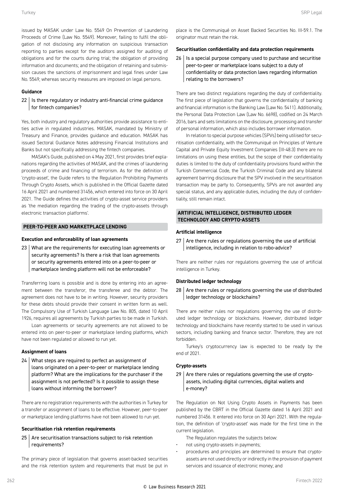issued by MASAK under Law No. 5549 On Prevention of Laundering Proceeds of Crime (Law No. 5549). Moreover, failing to fulfil the obligation of not disclosing any information on suspicious transaction reporting to parties except for the auditors assigned for auditing of obligations and for the courts during trial; the obligation of providing information and documents; and the obligation of retaining and submission causes the sanctions of imprisonment and legal fines under Law No. 5549; whereas security measures are imposed on legal persons.

#### **Guidance**

#### $22$  Is there regulatory or industry anti-financial crime guidance for fintech companies?

Yes, both industry and regulatory authorities provide assistance to entities active in regulated industries. MASAK, mandated by Ministry of Treasury and Finance, provides guidance and education. MASAK has issued Sectoral Guidance Notes addressing Financial Institutions and Banks but not specifically addressing the fintech companies.

MASAK's Guide, published on 4 May 2021, first provides brief explanations regarding the activities of MASAK, and the crimes of laundering proceeds of crime and financing of terrorism. As for the definition of 'crypto-asset', the Guide refers to the Regulation Prohibiting Payments Through Crypto Assets, which is published in the Official Gazette dated 16 April 2021 and numbered 31456, which entered into force on 30 April 2021. The Guide defines the activities of crypto-asset service providers as 'the mediation regarding the trading of the crypto-assets through electronic transaction platforms'.

#### **PEER-TO-PEER AND MARKETPLACE LENDING**

#### **Execution and enforceability of loan agreements**

23 What are the requirements for executing loan agreements or security agreements? Is there a risk that loan agreements or security agreements entered into on a peer-to-peer or marketplace lending platform will not be enforceable?

Transferring loans is possible and is done by entering into an agreement between the transferor, the transferee and the debtor. The agreement does not have to be in writing. However, security providers for these debts should provide their consent in written form as well. The Compulsory Use of Turkish Language Law No. 805, dated 10 April 1926, requires all agreements by Turkish parties to be made in Turkish.

Loan agreements or security agreements are not allowed to be entered into on peer-to-peer or marketplace lending platforms, which have not been regulated or allowed to run yet.

#### **Assignment of loans**

24 What steps are required to perfect an assignment of loans originated on a peer-to-peer or marketplace lending platform? What are the implications for the purchaser if the assignment is not perfected? Is it possible to assign these loans without informing the borrower?

There are no registration requirements with the authorities in Turkey for a transfer or assignment of loans to be effective. However, peer-to-peer or marketplace lending platforms have not been allowed to run yet.

#### **Securitisation risk retention requirements**

 $25$  Are securitisation transactions subject to risk retention requirements?

The primary piece of legislation that governs asset-backed securities and the risk retention system and requirements that must be put in

#### **Securitisation confidentiality and data protection requirements**

26 | Is a special purpose company used to purchase and securitise peer-to-peer or marketplace loans subject to a duty of confidentiality or data protection laws regarding information relating to the borrowers?

There are two distinct regulations regarding the duty of confidentiality. The first piece of legislation that governs the confidentiality of banking and financial information is the Banking Law (Law No. 5411). Additionally, the Personal Data Protection Law (Law No. 6698), codified on 24 March 2016, bars and sets limitations on the disclosure, processing and transfer of personal information, which also includes borrower information.

In relation to special purpose vehicles (SPVs) being utilised for securitisation confidentiality, with the Communiqué on Principles of Venture Capital and Private Equity Investment Companies (III-48.3) there are no limitations on using these entities, but the scope of their confidentiality duties is limited to the duty of confidentiality provisions found within the Turkish Commercial Code, the Turkish Criminal Code and any bilateral agreement barring disclosure that the SPV involved in the securitisation transaction may be party to. Consequently, SPVs are not awarded any special status, and any applicable duties, including the duty of confidentiality, still remain intact.

#### **ARTIFICIAL INTELLIGENCE, DISTRIBUTED LEDGER TECHNOLOGY AND CRYPTO-ASSETS**

#### **Artificial intelligence**

 $27$  Are there rules or regulations governing the use of artificial intelligence, including in relation to robo-advice?

There are neither rules nor regulations governing the use of artificial intelligence in Turkey.

#### **Distributed ledger technology**

28 Are there rules or regulations governing the use of distributed ledger technology or blockchains?

There are neither rules nor regulations governing the use of distributed ledger technology or blockchains. However, distributed ledger technology and blockchains have recently started to be used in various sectors, including banking and finance sector. Therefore, they are not forbidden.

Turkey's cryptocurrency law is expected to be ready by the end of 2021.

#### **Crypto-assets**

 $29$  Are there rules or regulations governing the use of cryptoassets, including digital currencies, digital wallets and e-money?

The Regulation on Not Using Crypto Assets in Payments has been published by the CBRT in the Official Gazette dated 16 April 2021 and numbered 31456. It entered into force on 30 Apri 2021. With the regulation, the definition of 'crypto-asset' was made for the first time in the current legislation.

- The Regulation regulates the subjects below:
- not using crypto-assets in payments;
- procedures and principles are determined to ensure that cryptoassets are not used directly or indirectly in the provision of payment services and issuance of electronic money; and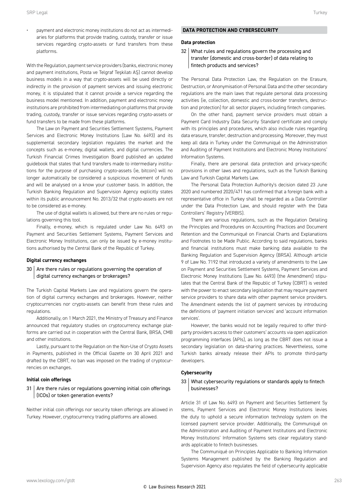• payment and electronic money institutions do not act as intermediaries for platforms that provide trading, custody, transfer or issue services regarding crypto-assets or fund transfers from these platforms.

With the Regulation, payment service providers (banks, electronic money and payment institutions, Posta ve Telgraf Teşkilatı AŞ) cannot develop business models in a way that crypto-assets will be used directly or indirectly in the provision of payment services and issuing electronic money, it is stipulated that it cannot provide a service regarding the business model mentioned. In addition, payment and electronic money institutions are prohibited from intermediating on platforms that provide trading, custody, transfer or issue services regarding crypto-assets or fund transfers to be made from these platforms.

The Law on Payment and Securities Settlement Systems, Payment Services and Electronic Money Institutions (Law No. 6493) and its supplemental secondary legislation regulates the market and the concepts such as e-money, digital wallets, and digital currencies. The Turkish Financial Crimes Investigation Board published an updated guidebook that states that fund transfers made to intermediary institutions for the purpose of purchasing crypto-assets (ie, bitcoin) will no longer automatically be considered a suspicious movement of funds and will be analysed on a know your customer basis. In addition, the Turkish Banking Regulation and Supervision Agency explicitly states within its public announcement No. 2013/32 that crypto-assets are not to be considered as e-money.

The use of digital wallets is allowed, but there are no rules or regulations governing this tool.

Finally, e-money, which is regulated under Law No. 6493 on Payment and Securities Settlement Systems, Payment Services and Electronic Money Institutions, can only be issued by e-money institutions authorised by the Central Bank of the Republic of Turkey.

#### **Digital currency exchanges**

#### $30$  Are there rules or regulations governing the operation of digital currency exchanges or brokerages?

The Turkish Capital Markets Law and regulations govern the operation of digital currency exchanges and brokerages. However, neither cryptocurrencies nor crypto-assets can benefit from these rules and regulations.

Additionally, on 1 March 2021, the Ministry of Treasury and Finance announced that regulatory studies on cryptocurrency exchange platforms are carried out in cooperation with the Central Bank, BRSA, CMB and other institutions.

Lastly, pursuant to the Regulation on the Non-Use of Crypto Assets in Payments, published in the Official Gazette on 30 April 2021 and drafted by the CBRT, no ban was imposed on the trading of cryptocurrencies on exchanges.

#### **Initial coin offerings**

31 | Are there rules or regulations governing initial coin offerings (ICOs) or token generation events?

Neither initial coin offerings nor security token offerings are allowed in Turkey. However, cryptocurrency trading platforms are allowed.

#### **DATA PROTECTION AND CYBERSECURITY**

#### **Data protection**

32 What rules and regulations govern the processing and transfer (domestic and cross-border) of data relating to fintech products and services?

The Personal Data Protection Law, the Regulation on the Erasure, Destruction, or Anonymisation of Personal Data and the other secondary regulations are the main laws that regulate personal data processing activities (ie, collection, domestic and cross-border transfers, destruction and protection) for all sector players, including fintech companies.

On the other hand, payment service providers must obtain a Payment Card Industry Data Security Standard certificate and comply with its principles and procedures, which also include rules regarding data erasure, transfer, destruction and processing. Moreover, they must keep all data in Turkey under the Communiqué on the Administration and Auditing of Payment Institutions and Electronic Money Institutions' Information Systems.

Finally, there are personal data protection and privacy-specific provisions in other laws and regulations, such as the Turkish Banking Law and Turkish Capital Markets Law.

The Personal Data Protection Authority's decision dated 23 June 2020 and numbered 2020/471 has confirmed that a foreign bank with a representative office in Turkey shall be regarded as a Data Controller under the Data Protection Law, and should register with the Data Controllers' Registry (VERBIS).

There are various regulations, such as the Regulation Detailing the Principles and Procedures on Accounting Practices and Document Retention and the Communiqué on Financial Charts and Explanations and Footnotes to be Made Public. According to said regulations, banks and financial institutions must make banking data available to the Banking Regulation and Supervision Agency (BRSA). Although article 9 of Law No. 7192 that introduced a variety of amendments to the Law on Payment and Securities Settlement Systems, Payment Services and Electronic Money Institutions (Law No. 6493) (the Amendment) stipulates that the Central Bank of the Republic of Turkey (CBRT) is vested with the power to enact secondary legislation that may require payment service providers to share data with other payment service providers. The Amendment extends the list of payment services by introducing the definitions of 'payment initiation services' and 'account information services'.

However, the banks would not be legally required to offer thirdparty providers access to their customers' accounts via open application programming interfaces (APIs), as long as the CBRT does not issue a secondary legislation on data-sharing practices. Nevertheless, some Turkish banks already release their APIs to promote third-party developers.

#### **Cybersecurity**

#### What cybersecurity regulations or standards apply to fintech businesses?

Article 31 of Law No. 6493 on Payment and Securities Settlement Sy stems, Payment Services and Electronic Money Institutions levies the duty to uphold a secure information technology system on the licensed payment service provider. Additionally, the Communiqué on the Administration and Auditing of Payment Institutions and Electronic Money Institutions' Information Systems sets clear regulatory standards applicable to fintech businesses.

The Communiqué on Principles Applicable to Banking Information Systems Management published by the Banking Regulation and Supervision Agency also regulates the field of cybersecurity applicable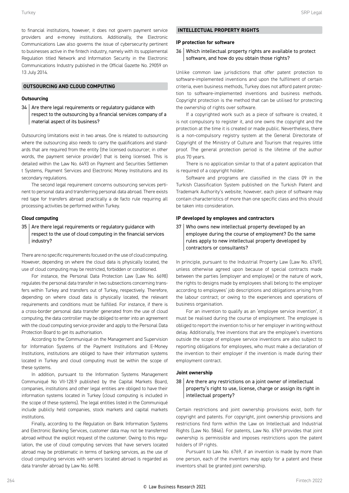to financial institutions, however, it does not govern payment service providers and e-money institutions. Additionally, the Electronic Communications Law also governs the issue of cybersecurity pertinent to businesses active in the fintech industry, namely with its supplemental Regulation titled Network and Information Security in the Electronic Communications Industry published in the Official Gazette No. 29059 on 13 July 2014.

#### **OUTSOURCING AND CLOUD COMPUTING**

#### **Outsourcing**

 $34$  Are there legal requirements or regulatory guidance with respect to the outsourcing by a financial services company of a material aspect of its business?

Outsourcing limitations exist in two areas. One is related to outsourcing where the outsourcing also needs to carry the qualifications and standards that are required from the entity (the licensed outsourcer, in other words, the payment service provider) that is being licensed. This is detailed within the Law No. 6493 on Payment and Securities Settlemen t Systems, Payment Services and Electronic Money Institutions and its secondary regulations.

The second legal requirement concerns outsourcing services pertinent to personal data and transferring personal data abroad. There exists red tape for transfers abroad: practically a de facto rule requiring all processing activities be performed within Turkey.

#### **Cloud computing**

 $35$  Are there legal requirements or regulatory guidance with respect to the use of cloud computing in the financial services industry?

There are no specific requirements focused on the use of cloud computing. However, depending on where the cloud data is physically located, the use of cloud computing may be restricted, forbidden or conditioned.

For instance, the Personal Data Protection Law (Law No. 6698) regulates the personal data transfer in two subsections concerning transfers within Turkey and transfers out of Turkey, respectively. Therefore, depending on where cloud data is physically located, the relevant requirements and conditions must be fulfilled. For instance, if there is a cross-border personal data transfer generated from the use of cloud computing, the data controller may be obliged to enter into an agreement with the cloud computing service provider and apply to the Personal Data Protection Board to get its authorisation.

According to the Communiqué on the Management and Supervision for Information Systems of the Payment Institutions and E-Money Institutions, institutions are obliged to have their information systems located in Turkey and cloud computing must be within the scope of these systems.

In addition, pursuant to the Information Systems Management Communiqué No VII-128.9 published by the Capital Markets Board, companies, institutions and other legal entities are obliged to have their information systems located in Turkey (cloud computing is included in the scope of these systems). The legal entities listed in the Communiqué include publicly held companies, stock markets and capital markets institutions.

Finally, according to the Regulation on Bank Information Systems and Electronic Banking Services, customer data may not be transferred abroad without the explicit request of the customer. Owing to this regulation, the use of cloud computing services that have servers located abroad may be problematic in terms of banking services, as the use of cloud computing services with servers located abroad is regarded as data transfer abroad by Law No. 6698.

#### **INTELLECTUAL PROPERTY RIGHTS**

#### **IP protection for software**

#### 36 Which intellectual property rights are available to protect software, and how do you obtain those rights?

Unlike common law jurisdictions that offer patent protection to software-implemented inventions and upon the fulfilment of certain criteria, even business methods, Turkey does not afford patent protection to software-implemented inventions and business methods. Copyright protection is the method that can be utilised for protecting the ownership of rights over software.

If a copyrighted work such as a piece of software is created, it is not compulsory to register it, and one owns the copyright and the protection at the time it is created or made public. Nevertheless, there is a non-compulsory registry system at the General Directorate of Copyright of the Ministry of Culture and Tourism that requires little proof. The general protection period is the lifetime of the author plus 70 years.

There is no application similar to that of a patent application that is required of a copyright holder.

Software and programs are classified in the class 09 in the Turkish Classification System published on the Turkish Patent and Trademark Authority's website; however, each piece of software may contain characteristics of more than one specific class and this should be taken into consideration.

#### **IP developed by employees and contractors**

37 Who owns new intellectual property developed by an employee during the course of employment? Do the same rules apply to new intellectual property developed by contractors or consultants?

In principle, pursuant to the Industrial Property Law (Law No. 6769), unless otherwise agreed upon because of special contracts made between the parties (employer and employee) or the nature of work, the rights to designs made by employees shall belong to the employer according to employees' job descriptions and obligations arising from the labour contract; or owing to the experiences and operations of business organisation.

For an invention to qualify as an 'employee service invention', it must be realised during the course of employment. The employee is obliged to report the invention to his or her employer in writing without delay. Additionally, free inventions that are the employee's inventions outside the scope of employee service inventions are also subject to reporting obligations for employees, who must make a declaration of the invention to their employer if the invention is made during their employment contract.

#### **Joint ownership**

#### $38$  Are there any restrictions on a joint owner of intellectual property's right to use, license, charge or assign its right in intellectual property?

Certain restrictions and joint ownership provisions exist, both for copyright and patents. For copyright, joint ownership provisions and restrictions find form within the Law on Intellectual and Industrial Rights (Law No. 5846). For patents, Law No. 6769 provides that joint ownership is permissible and imposes restrictions upon the patent holders of IP rights.

Pursuant to Law No. 6769, if an invention is made by more than one person, each of the inventors may apply for a patent and these inventors shall be granted joint ownership.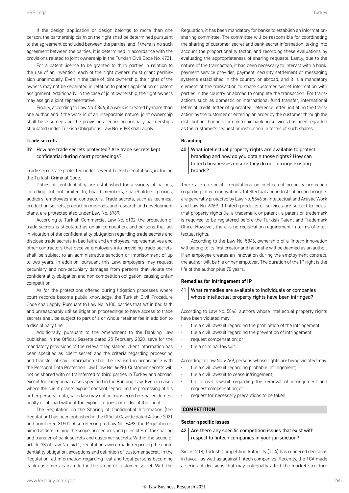If the design application or design belongs to more than one person, the partnership claim on the right shall be determined pursuant to the agreement concluded between the parties, and if there is no such agreement between the parties, it is determined in accordance with the provisions related to joint ownership in the Turkish Civil Code No. 4721.

For a patent licence to be granted to third parties in relation to the use of an invention, each of the right owners must grant permission unanimously. Even in the case of joint ownership, the rights of the owners may not be separated in relation to patent application or patent assignment. Additionally, in the case of joint ownership, the right owners may assign a joint representative.

Finally, according to Law No. 5846, if a work is created by more than one author and if the work is of an inseparable nature, joint ownership shall be assumed and the provisions regarding ordinary partnerships stipulated under Turkish Obligations Law No. 6098 shall apply.

#### **Trade secrets**

#### 39 How are trade secrets protected? Are trade secrets kept confidential during court proceedings?

Trade secrets are protected under several Turkish regulations, including the Turkish Criminal Code.

Duties of confidentiality are established for a variety of parties, including but not limited to, board members, shareholders, proxies, auditors, employees and contractors. Trade secrets, such as technical production secrets, production methods, and research and development plans, are protected also under Law No. 6769.

According to Turkish Commercial Law No. 6102, the protection of trade secrets is stipulated as unfair competition, and persons that act in violation of the confidentiality obligation regarding trade secrets and disclose trade secrets in bad faith; and employees, representatives and other contractors that deceive employers into providing trade secrets, shall be subject to an administrative sanction or imprisonment of up to two years. In addition, pursuant this Law, employers may request pecuniary and non-pecuniary damages from persons that violate the confidentiality obligation and non-competition obligation, causing unfair competition.

As for the protections offered during litigation processes where court records become public knowledge, the Turkish Civil Procedure Code shall apply. Pursuant to Law No. 6100, parties that act in bad faith and unreasonably utilise litigation proceedings to have access to trade secrets shall be subject to part of a or whole retainer fee in addition to a disciplinary fine.

Additionally, pursuant to the Amendment to the Banking Law published in the Official Gazette dated 25 February 2020, save for the mandatory provisions of the relevant legislation, client information has been specified as 'client secret' and the criteria regarding processing and transfer of said information shall be realised in accordance with the Personal Data Protection Law (Law No. 6698). Customer secrets will not be shared with or transferred to third parties in Turkey and abroad, except for exceptional cases specified in the Banking Law. Even in cases where the client grants explicit consent regarding the processing of his or her personal data, said data may not be transferred or shared domestically or abroad without the explicit request or order of the client.

The Regulation on the Sharing of Confidential Information (the Regulation) has been published in the Official Gazette dated 4 June 2021 and numbered 31501. Also referring to Law No. 6493, the Regulation is aimed at determining the scope, procedures and principles of the sharing and transfer of bank secrets and customer secrets. Within the scope of article 73 of Law No. 5411, regulations were made regarding the confidentiality obligation, exceptions and definition of 'customer secret'. In the Regulation, all information regarding real and legal persons becoming bank customers is included in the scope of customer secret. With the

Regulation, it has been mandatory for banks to establish an informationsharing committee. The committee will be responsible for coordinating the sharing of customer secret and bank secret information, taking into account the proportionality factor, and recording these evaluations by evaluating the appropriateness of sharing requests. Lastly, due to the nature of the transaction, it has been necessary to interact with a bank, payment service provider, payment, security settlement or messaging systems established in the country or abroad, and it is a mandatory element of the transaction to share customer secret information with parties in the country or abroad to complete the transaction. For transactions such as domestic or international fund transfer, international letter of credit, letter of guarantee, reference letter, initiating the transaction by the customer or entering an order by the customer through the distribution channels for electronic banking services has been regarded as the customer's request or instruction in terms of such shares.

#### **Branding**

#### 40 What intellectual property rights are available to protect branding and how do you obtain those rights? How can fintech businesses ensure they do not infringe existing brands?

There are no specific regulations on intellectual property protection regarding fintech innovations. Intellectual and industrial property rights are generally protected by Law No. 5846 on Intellectual and Artistic Work and Law No. 6769. If fintech products or services are subject to industrial property rights (ie, a trademark or patent), a patent or trademark is required to be registered before the Turkish Patent and Trademark Office. However, there is no registration requirement in terms of intellectual rights.

According to the Law No. 5846, ownership of a fintech innovation will belong to its first creator and he or she will be deemed as an author. If an employee creates an innovation during the employment contract, the author will be his or her employer. The duration of the IP right is the life of the author plus 70 years.

#### **Remedies for infringement of IP**

41 What remedies are available to individuals or companies whose intellectual property rights have been infringed?

According to Law No. 5846, authors whose intellectual property rights have been violated may:

- file a civil lawsuit regarding the prohibition of the infringement;
- file a civil lawsuit regarding the prevention of infringement;
- request compensation; or
- file a criminal lawsuit.

According to Law No. 6769, persons whose rights are being violated may:

- file a civil lawsuit regarding probable infringement;
- file a civil lawsuit to cease infringement;
- file a civil lawsuit regarding the removal of infringement and request compensation; or
- request for necessary precautions to be taken.

#### **COMPETITION**

#### **Sector-specific issues**

 $42$  Are there any specific competition issues that exist with respect to fintech companies in your jurisdiction?

Since 2018, Turkish Competition Authority (TCA) has rendered decisions in favour as well as against fintech companies. Recently, the TCA made a series of decisions that may potentially affect the market structure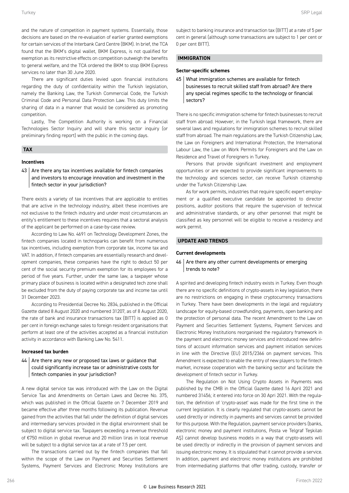and the nature of competition in payment systems. Essentially, those decisions are based on the re-evaluation of earlier granted exemptions for certain services of the Interbank Card Centre (BKM). In brief, the TCA found that the BKM's digital wallet, BKM Express, is not qualified for exemption as its restrictive effects on competition outweigh the benefits to general welfare, and the TCA ordered the BKM to stop BKM Express services no later than 30 June 2020.

There are significant duties levied upon financial institutions regarding the duty of confidentiality within the Turkish legislation, namely the Banking Law, the Turkish Commercial Code, the Turkish Criminal Code and Personal Data Protection Law. This duty limits the sharing of data in a manner that would be considered as promoting competition.

Lastly, The Competition Authority is working on a Financial Technologies Sector Inquiry and will share this sector inquiry (or preliminary finding report) with the public in the coming days.

#### **TAX**

#### **Incentives**

 $43$  Are there any tax incentives available for fintech companies and investors to encourage innovation and investment in the fintech sector in your jurisdiction?

There exists a variety of tax incentives that are applicable to entities that are active in the technology industry, albeit these incentives are not exclusive to the fintech industry and under most circumstances an entity's entitlement to these incentives requires that a sectoral analysis of the applicant be performed on a case-by-case review.

According to Law No. 4691 on Technology Development Zones, the fintech companies located in technoparks can benefit from numerous tax incentives, including exemption from corporate tax, income tax and VAT. In addition, if fintech companies are essentially research and development companies, these companies have the right to deduct 50 per cent of the social security premium exemption for its employees for a period of five years. Further, under the same law, a taxpayer whose primary place of business is located within a designated tech zone shall be excluded from the duty of paying corporate tax and income tax until 31 December 2023.

According to Presidential Decree No. 2834, published in the Official Gazette dated 8 August 2020 and numbered 31207, as of 8 August 2020, the rate of bank and insurance transactions tax (BITT) is applied as 0 per cent in foreign exchange sales to foreign resident organisations that perform at least one of the activities accepted as a financial institution activity in accordance with Banking Law No. 5411.

#### **Increased tax burden**

#### $44$  Are there any new or proposed tax laws or guidance that could significantly increase tax or administrative costs for fintech companies in your jurisdiction?

A new digital service tax was introduced with the Law on the Digital Service Tax and Amendments on Certain Laws and Decree No. 375, which was published in the Official Gazette on 7 December 2019 and became effective after three months following its publication. Revenue gained from the activities that fall under the definition of digital services and intermediary services provided in the digital environment shall be subject to digital service tax. Taxpayers exceeding a revenue threshold of €750 million in global revenue and 20 million liras in local revenue will be subject to a digital service tax at a rate of 7.5 per cent.

The transactions carried out by the fintech companies that fall within the scope of the Law on Payment and Securities Settlement Systems, Payment Services and Electronic Money Institutions are subject to banking insurance and transaction tax (BITT) at a rate of 5 per cent in general (although some transactions are subject to 1 per cent or 0 per cent BITT).

#### **IMMIGRATION**

#### **Sector-specific schemes**

45 What immigration schemes are available for fintech businesses to recruit skilled staff from abroad? Are there any special regimes specific to the technology or financial sectors?

There is no specific immigration scheme for fintech businesses to recruit staff from abroad. However, in the Turkish legal framework, there are several laws and regulations for immigration schemes to recruit skilled staff from abroad. The main regulations are the Turkish Citizenship Law, the Law on Foreigners and International Protection, the International Labour Law, the Law on Work Permits for Foreigners and the Law on Residence and Travel of Foreigners in Turkey.

Persons that provide significant investment and employment opportunities or are expected to provide significant improvements to the technology and sciences sector, can receive Turkish citizenship under the Turkish Citizenship Law.

As for work permits, industries that require specific expert employment or a qualified executive candidate be appointed to director positions, auditor positions that require the supervision of technical and administrative standards, or any other personnel that might be classified as key personnel will be eligible to receive a residency and work permit.

#### **UPDATE AND TRENDS**

#### **Current developments**

#### $46$  Are there any other current developments or emerging trends to note?

A spirited and developing fintech industry exists in Turkey. Even though there are no specific definitions of crypto-assets in key legislation, there are no restrictions on engaging in these cryptocurrency transactions in Turkey. There have been developments in the legal and regulatory landscape for equity-based crowdfunding, payments, open banking and the protection of personal data. The recent Amendment to the Law on Payment and Securities Settlement Systems, Payment Services and Electronic Money Institutions reorganised the regulatory framework in the payment and electronic money services and introduced new definitions of account information services and payment initiation services in line with the Directive (EU) 2015/2366 on payment services. This Amendment is expected to enable the entry of new players to the fintech market, increase cooperation with the banking sector and facilitate the development of fintech sector in Turkey.

The Regulation on Not Using Crypto Assets in Payments was published by the CMB in the Official Gazette dated 16 April 2021 and numbered 31456; it entered into force on 30 Apri 2021. With the regulation, the definition of 'crypto-asset' was made for the first time in the current legislation. It is clearly regulated that crypto-assets cannot be used directly or indirectly in payments and services cannot be provided for this purpose. With the Regulation, payment service providers (banks, electronic money and payment institutions, Posta ve Telgraf Teşkilatı AŞ) cannot develop business models in a way that crypto-assets will be used directly or indirectly in the provision of payment services and issuing electronic money. It is stipulated that it cannot provide a service. In addition, payment and electronic money institutions are prohibited from intermediating platforms that offer trading, custody, transfer or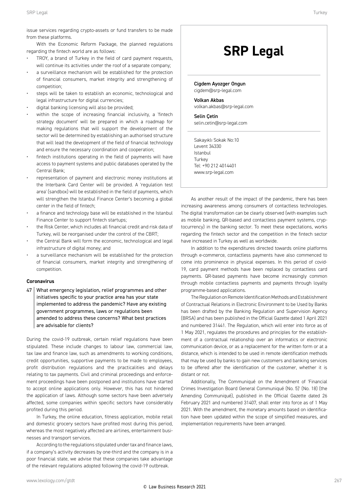With the Economic Reform Package, the planned regulations regarding the fintech world are as follows:

- TROY, a brand of Turkey in the field of card payment requests, will continue its activities under the roof of a separate company;
- a surveillance mechanism will be established for the protection of financial consumers, market integrity and strengthening of competition;
- steps will be taken to establish an economic, technological and legal infrastructure for digital currencies;
- digital banking licensing will also be provided;
- within the scope of increasing financial inclusivity, a 'fintech strategy document' will be prepared in which a roadmap for making regulations that will support the development of the sector will be determined by establishing an authorised structure that will lead the development of the field of financial technology and ensure the necessary coordination and cooperation;
- fintech institutions operating in the field of payments will have access to payment systems and public databases operated by the Central Bank;
- representation of payment and electronic money institutions at the Interbank Card Center will be provided. A 'regulation test area' (sandbox) will be established in the field of payments, which will strengthen the Istanbul Finance Center's becoming a global center in the field of fintech;
- a finance and technology base will be established in the Istanbul Finance Center to support fintech startups;
- the Risk Center, which includes all financial credit and risk data of Turkey, will be reorganised under the control of the CBRT;
- the Central Bank will form the economic, technological and legal infrastructure of digital money; and
- a surveillance mechanism will be established for the protection of financial consumers, market integrity and strengthening of competition.

#### **Coronavirus**

47 What emergency legislation, relief programmes and other initiatives specific to your practice area has your state implemented to address the pandemic? Have any existing government programmes, laws or regulations been amended to address these concerns? What best practices are advisable for clients?

During the covid-19 outbreak, certain relief regulations have been stipulated. These include changes to labour law, commercial law, tax law and finance law, such as amendments to working conditions, credit opportunities, supportive payments to be made to employees, profit distribution regulations and the practicalities and delays relating to tax payments. Civil and criminal proceedings and enforcement proceedings have been postponed and institutions have started to accept online applications only. However, this has not hindered the application of laws. Although some sectors have been adversely affected, some companies within specific sectors have considerably profited during this period.

In Turkey, the online education, fitness application, mobile retail and domestic grocery sectors have profited most during this period, whereas the most negatively affected are airlines, entertainment businesses and transport services.

According to the regulations stipulated under tax and finance laws, if a company's activity decreases by one-third and the company is in a poor financial state, we advise that these companies take advantage of the relevant regulations adopted following the covid-19 outbreak.

### **SRP Legal**

Cigdem Ayozger Ongun cigdem@srp-legal.com

Volkan Akbas volkan.akbas@srp-legal.com

Selin Çetin selin.cetin@srp-legal.com

Sakayıklı Sokak No:10 Levent 34330 Istanbul Turkey Tel: +90 212 4014401 www.srp-legal.com

As another result of the impact of the pandemic, there has been increasing awareness among consumers of contactless technologies. The digital transformation can be clearly observed (with examples such as mobile banking, QR-based and contactless payment systems, cryptocurrency) in the banking sector. To meet these expectations, works regarding the fintech sector and the competition in the fintech sector have increased in Turkey as well as worldwide.

In addition to the expenditures directed towards online platforms through e-commerce, contactless payments have also commenced to come into prominence in physical expenses. In this period of covid-19, card payment methods have been replaced by contactless card payments. QR-based payments have become increasingly common through mobile contactless payments and payments through loyalty programme-based applications.

The Regulation on Remote Identification Methods and Establishment of Contractual Relations in Electronic Environment to be Used by Banks has been drafted by the Banking Regulation and Supervision Agency (BRSA) and has been published in the Official Gazette dated 1 April 2021 and numbered 31441. The Regulation, which will enter into force as of 1 May 2021, regulates the procedures and principles for the establishment of a contractual relationship over an informatics or electronic communication device, or as a replacement for the written form or at a distance, which is intended to be used in remote identification methods that may be used by banks to gain new customers and banking services to be offered after the identification of the customer, whether it is distant or not.

Additionally, The Communiqué on the Amendment of 'Financial Crimes Investigation Board General Communiqué (No. 5)' (No. 18) (the Amending Communiqué), published in the Official Gazette dated 26 February 2021 and numbered 31407, shall enter into force as of 1 May 2021. With the amendment, the monetary amounts based on identification have been updated within the scope of simplified measures, and implementation requirements have been arranged.